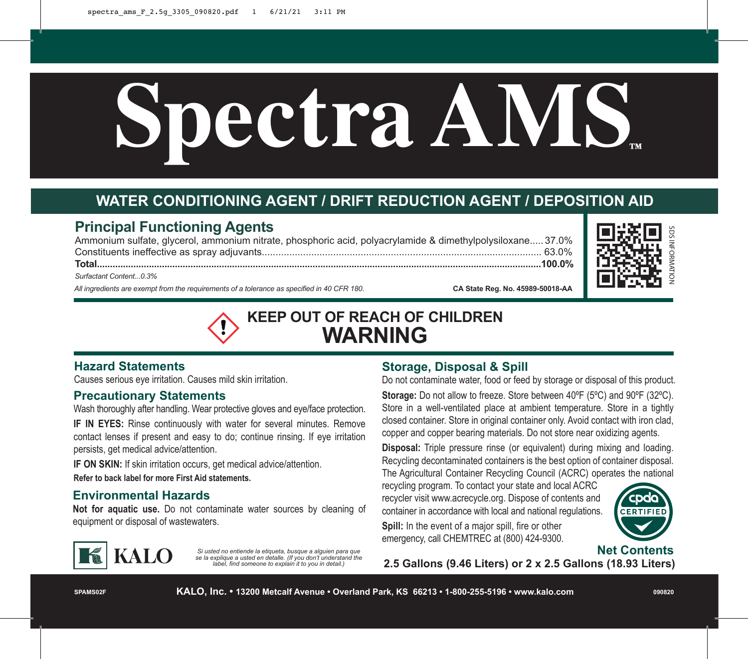# **Spectra AMS™**

# **WATER CONDITIONING AGENT / DRIFT REDUCTION AGENT / DEPOSITION AID**

# **Principal Functioning Agents**

Ammonium sulfate, glycerol, ammonium nitrate, phosphoric acid, polyacrylamide & dimethylpolysiloxane..... 37.0% Constituents ineffective as spray adjuvants...................................................................................................... 63.0% **Total...........................................................................................................................................................................100.0%** *Surfactant Content...0.3% All ingredients are exempt from the requirements of a tolerance as specified in 40 CFR 180.* **CA State Reg. No. 45989-50018-AA** 





## **Hazard Statements**

Causes serious eye irritation. Causes mild skin irritation.

#### **Precautionary Statements**

Wash thoroughly after handling. Wear protective gloves and eye/face protection.

**IF IN EYES:** Rinse continuously with water for several minutes. Remove contact lenses if present and easy to do; continue rinsing. If eye irritation persists, get medical advice/attention.

**IF ON SKIN:** If skin irritation occurs, get medical advice/attention. **Refer to back label for more First Aid statements.**

## **Environmental Hazards**

**Not for aquatic use.** Do not contaminate water sources by cleaning of equipment or disposal of wastewaters.



*Si usted no entiende la etiqueta, busque a alguien para que se la explique a usted en detalle. (If you don't understand the label, find someone to explain it to you in detail.)*

# **Storage, Disposal & Spill**

Do not contaminate water, food or feed by storage or disposal of this product. **Storage:** Do not allow to freeze. Store between 40ºF (5ºC) and 90ºF (32ºC). Store in a well-ventilated place at ambient temperature. Store in a tightly closed container. Store in original container only. Avoid contact with iron clad, copper and copper bearing materials. Do not store near oxidizing agents.

**Disposal:** Triple pressure rinse (or equivalent) during mixing and loading. Recycling decontaminated containers is the best option of container disposal. The Agricultural Container Recycling Council (ACRC) operates the national

recycling program. To contact your state and local ACRC recycler visit www.acrecycle.org. Dispose of contents and container in accordance with local and national regulations.



**Spill:** In the event of a major spill, fire or other emergency, call CHEMTREC at (800) 424-9300.



**2.5 Gallons (9.46 Liters) or 2 x 2.5 Gallons (18.93 Liters)**

**SPAMS02F**

**KALO, Inc. • 13200 Metcalf Avenue • Overland Park, KS 66213 • 1-800-255-5196 • www.kalo.com**

**090820**